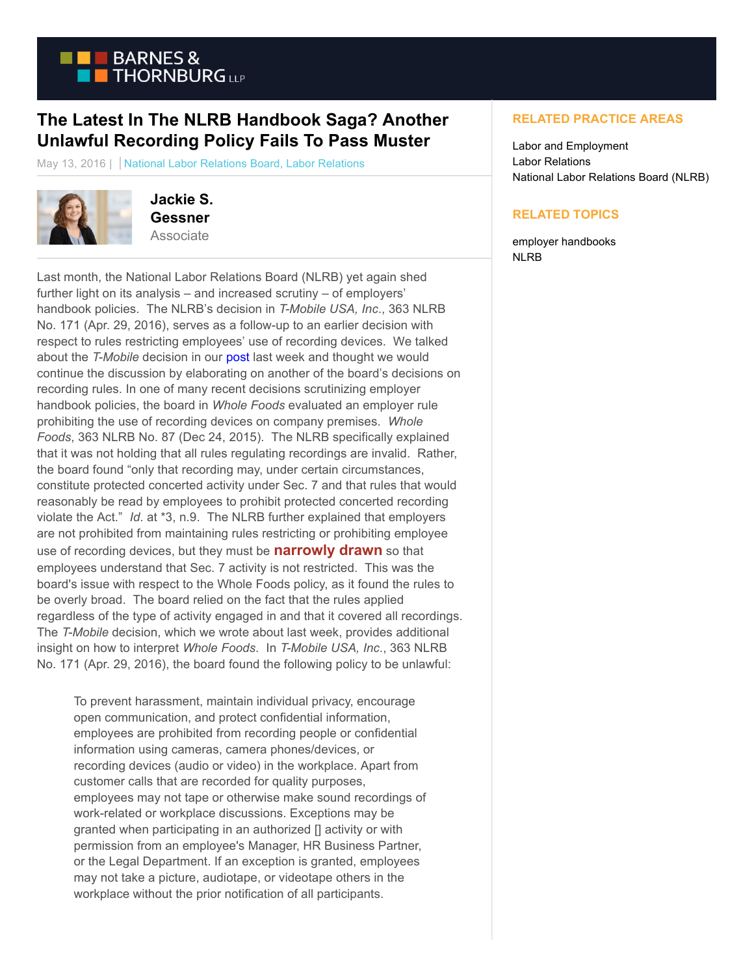

## **The Latest In The NLRB Handbook Saga? Another Unlawful Recording Policy Fails To Pass Muster**

May 13, 2016 | National Labor Relations Board, Labor Relations



**Jackie S. Gessner Associate** 

Last month, the National Labor Relations Board (NLRB) yet again shed further light on its analysis – and increased scrutiny – of employers' handbook policies. The NLRB's decision in *T-Mobile USA, Inc*., 363 NLRB No. 171 (Apr. 29, 2016), serves as a follow-up to an earlier decision with respect to rules restricting employees' use of recording devices. We talked about the *T-Mobile* decision in our [post l](https://www.btlaborrelations.com/you-cant-make-me-be-positive/)ast week and thought we would continue the discussion by elaborating on another of the board's decisions on recording rules. In one of many recent decisions scrutinizing employer handbook policies, the board in *Whole Foods* evaluated an employer rule prohibiting the use of recording devices on company premises. *Whole Foods*, 363 NLRB No. 87 (Dec 24, 2015). The NLRB specifically explained that it was not holding that all rules regulating recordings are invalid. Rather, the board found "only that recording may, under certain circumstances, constitute protected concerted activity under Sec. 7 and that rules that would reasonably be read by employees to prohibit protected concerted recording violate the Act." *Id*. at \*3, n.9. The NLRB further explained that employers are not prohibited from maintaining rules restricting or prohibiting employee use of recording devices, but they must be **narrowly drawn** so that employees understand that Sec. 7 activity is not restricted. This was the board's issue with respect to the Whole Foods policy, as it found the rules to be overly broad. The board relied on the fact that the rules applied regardless of the type of activity engaged in and that it covered all recordings. The *T-Mobile* decision, which we wrote about last week, provides additional insight on how to interpret *Whole Foods*. In *T-Mobile USA, Inc*., 363 NLRB No. 171 (Apr. 29, 2016), the board found the following policy to be unlawful:

To prevent harassment, maintain individual privacy, encourage open communication, and protect confidential information, employees are prohibited from recording people or confidential information using cameras, camera phones/devices, or recording devices (audio or video) in the workplace. Apart from customer calls that are recorded for quality purposes, employees may not tape or otherwise make sound recordings of work-related or workplace discussions. Exceptions may be granted when participating in an authorized [] activity or with permission from an employee's Manager, HR Business Partner, or the Legal Department. If an exception is granted, employees may not take a picture, audiotape, or videotape others in the workplace without the prior notification of all participants.

## **RELATED PRACTICE AREAS**

Labor and Employment Labor Relations National Labor Relations Board (NLRB)

## **RELATED TOPICS**

employer handbooks NLRB